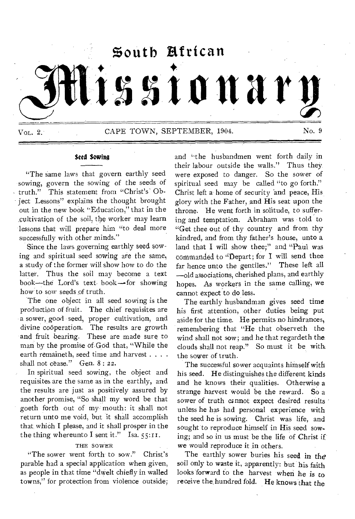

## *Seed* Sowing

"The same laws that govern earthly seed sowing, govern the sowing of the seeds of  $-truth."$  This statement from "Christ's Obiect Lessons" explains the thought brought out in the new book "Education," that in the cultivation of the soil, the worker may learn lessons that will prepare him "to deal more successfully with other minds."

Since the laws governing earthly seed sowing and spiritual seed sowing are the same, a study of the former will show how to do the latter. Thus the soil may become a text book—the Lord's text book—for showing how to sow seeds of truth.

The one object in all seed sowing is the production of fruit. The chief requisites are a sower, good seed, proper cultivation, and divine cooperation. The results are growth and fruit bearing. These are made sure to man by the promise of God that, "While the earth remaineth, seed time and harvest . . . . shall not cease." Gen. 8:22.

In spiritual seed sowing, the object and requisites are the same as in the earthly, and the results are just as positively assured by another promise, "So shall my word be that goeth forth out of my: mouth: it shall not return unto me void, but it shall accomplish that, which I please, and it shall prosper in the the thing whereunto I sent it." Isa.  $55:11$ .

#### THE SOWER

"The sower went forth to sow." Christ's parable had a special application when given, as people in that time "dwelt chiefly in walled towns," for protection from violence outside; and "the husbandmen went forth daily in their labour outside the walls." Thus they were exposed to danger. So the sower of spiritual seed may be called "to go forth." Christ left a home of security and peace, His glory with the Father, and His seat upon the throne. He went forth in solitude, to suffering and temptation. Abraham was told to "Get thee out of thy country and from thy kindred, and from thy father's house, unto a land that I will show thee;" and "Paul was commanded to "Depart; for I will send thee far hence unto the gentiles." These left all —old associations, cherished plans, and earthly hopes. As workers in the same calling, we cannot expect to do less.

The earthly husbandman gives seed time his first attention, other duties being put aside for the time. He permits no hindrances, remembering that "He that observeth the wind shall not sow; and he that regardeth the clouds shall not reap." So must it be with the sower of truth.

The successful sower acquaints himself with his seed. He distinguishes the different kinds and he knows their qualities. Otherwise a strange harvest would be the reward. So a sower of truth cannot expect desired results unless he has had personal experience with the seed he is sowing. Christ was life, and sought to reproduce himself in His seed sowing; and so in us must be the life of Christ if we would reproduce it in others.

The earthly sower buries his seed in the soil only to waste it, apparently: but his faith looks forward to the harvest when he is to receive the hundred fold. He knows that the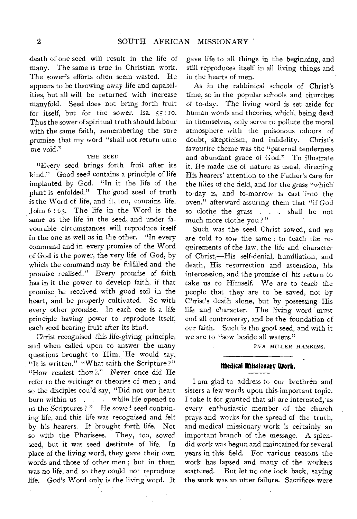death of one seed will result in the life of many. The same is true in Christian work. The sower's efforts often seem wasted. He appears to be throwing away life and capabilities, but all will be returned with increase manyfold. Seed does not bring forth fruit for itself, but for the sower. Isa. *55: To.*  Thus the sower of spiritual truth should labour with the same faith, remembering the sure promise that my word "shall not return unto me void."

#### THE SEED

"Every seed brings forth fruit after its kind." Good seed contains a principle of life implanted by God. "In it the life of the plant is enfolded." The good seed of truth is the Word of life, and it, too, contains life. John 6 : 63. The life in the Word *is* the same as the life in the seed, and under favourable circumstances will reproduce itself in the one as well as in the other. "In every command and in every promise of the Word of God is the power, the very life of God, by which the command may be fulfilled and the promise realised." Every promise of faith has in it the power to develop faith, if that promise be received with good soil in the heart, and be properly cultivated. So with every other promise. In each one is a life principle having power to reproduce itself, each seed bearing fruit after its kind.

Christ recognised this life-giving principle, and when called upon to answer the many questions brought to Him, He would say,  $"$ It is written," "What saith the Scripture?" "How readest thou ?." Never once did He refer to the writings or theories of men ; and so the disciples could say, "Did not our heart burn within us . . . while He opened to us the Scriptures ?" He sowed seed containing life, and this life was recognised and felt by his hearers. It brought forth life. Not so with the Pharisees. They, too, sowed seed, but it was seed destitute of life. In place of the living word, they gave their own words and those of other men ; but in them was no life, and so they could not reproduce life. God's Word only is the living word. It

gave life to all things in the beginning, and still reproduces itself in all living things and in the hearts of men.

As in the rabbinical schools of Christ's time, so in the popular schools and churches of to-day. The living word is set aside for human words and theories, which, being dead in themselves, only serve to pollute the moral atmosphere with the poisonous odours of doubt, skepticism, and infidelity. Christ's favourite theme was the "paternal tenderness and abundant grace of God." To illustrate it, He made use of nature as usual, directing His hearers' attention to the Father's care for the lilies of the field, and for the grass "which to-day is, and to-morrow is cast into the oven," afterward assuring them that "if God so clothe the grass . . . shall he not much more clothe you ? "

Such was the seed Christ sowed, and we are told to sow the same ; to teach the requirements of the law, the life and character of Christ,—His self-denial, humiliation, and death, His resurrection and ascension, his intercession, and the promise of his return to take us to Himself. We are to teach the people that they are to be saved, not by Christ's death alone, but by possessing His life and character. The living word must end all controversy, and be the foundation of our faith. Such is the good seed, and with it we are to "sow beside all waters."

EVA MILLER HANKINS.

#### **Medical Missionary Work.**

I am glad to address to our brethren and sisters a few words upon this-important topic. I take it for granted that all are interested, as every enthusiastic member of the church prays and works for the spread of the truth, and medical missionary work is certainly an important branch of the message. A splendid work was begun and maintained for severalyears in this field. For various reasons the work has lapsed and many of the workers scattered. But let no one look back, saying the work was an utter failure. Sacrifices were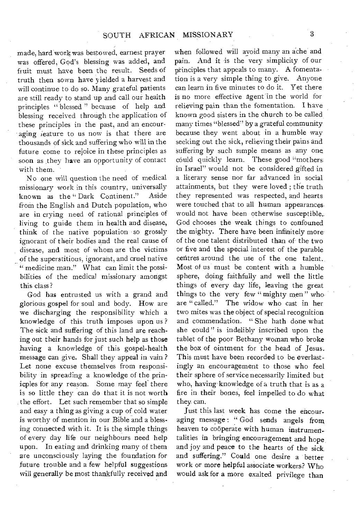made, hard work was bestowed, earnest prayer was offered, God's blessing was added, and fruit must have been the result. Seeds of truth then sown have yielded a harvest and will continue to do so. Many grateful patients are still ready to stand up and call our health principles "blessed" because of help and blessing received through the application of these principles in the past, and an encouraging feature to us now is that there are thousands of sick and suffering who will in the future come to rejoice in these principles as soon as they have an opportunity of contact with them.

No one will question the need of medical missionary work in this country, universally<br>known, as the "Dark, Continent." Aside known as the "Dark Continent." from the English and Dutch population, who are in crying need of rational principles of living to guide them in health and disease, think of the native population so grossly ignorant of their bodies and the real cause of disease, and most of whom are the victims of the superstitious, ignorant, and cruel native " medicine man." What can limit the possibilities of the medical missionary amongst this class?

God has entrusted us with a grand and glorious gospel for soul and body. How are we discharging the responsibility which a knowledge of this truth imposes upon us ? The sick and suffering of this land are reaching out their hands for just such help as those having a knowledge of this gospel-health message can give. Shall they appeal in vain ? Let none excuse themselves from responsibility in spreading a knowledge of the prinicples for any reason. Some may feel there is so little they can do that it is not worth the effort. Let such remember that so simple and easy a thing as giving a cup of cold water is worthy of mention in our Bible and a blessing connected with it. It is the simple things of every day life our neighbours need help upon. In eating and drinking many of them are unconsciously laying the foundation for future trouble and a few helpful suggestions will generally be most thankfully received and

when followed will avoid many an ache and pain. And it is the very simplicity of our principles that appeals to many. A fomentation is a very simple thing to give. Anyone can learn in five minutes to do it. Yet there is no more effective agent in the world for relieving pain than the fomentation. I have known good sisters in the church to be called many times "blessed" by a grateful community because they went about in a humble way seeking out the sick, relieving their pains and suffering by such simple means as any one could quickly learn. These good "mothers in Israel" would not be considered gifted in a literary sense nor far advanced in social attainments, but they were loved ; the truth they represented was respected, and hearts were touched that to all human appearances would not have been otherwise susceptible. God chooses the weak things to confouned the mighty. There have been infinitely more of the one talent distributed than of-the two or five and the special interest of the parable centres around the use of the one talent. Most of us must be content with a humble sphere, doing faithfully and well the little things of every day life, leaving the great things to the very few " mighty men" who are "called." The widow who cast in her two mites was the object of special recognition and commendation. " She hath done what she could" is indelibly inscribed upon the tablet of the poor Bethany woman who broke the box of ointment for the head of Jesus. This must have been recorded to be everlastingly an encouragement to those who feel their sphere of service necessarily limited but who, having knowledge of a truth that is as a fire in their bones, feel impelled to do what they can.

Just this last week has come the encouraging message : " God sends angels from heaven to cooperate with human instrumentalities in bringing encouragement and hope and joy and peace to the hearts of the sick and suffering." Could one desire a better work or more helpful associate workers? Who would ask for a more exalted privilege than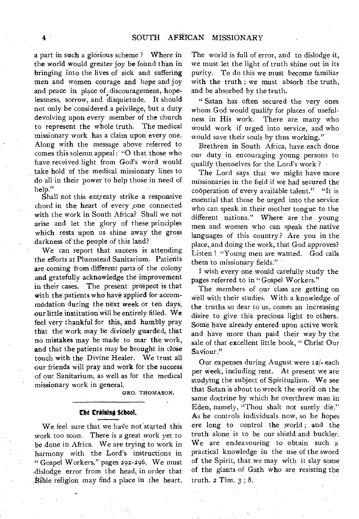a part in such a glorious scheme ? Where in the world would greater joy be fotind than in bringing into the lives of sick and suffering men and women courage and hope and joy and peace in place of discouragement, hopelessness, sorrow, and disquietude. It should not only be considered a privilege, but a duty devolving upon every member of the church to represent the whole truth. The medical missionary work has a claim upon every one. Along with the message above referred to comes this solemn appeal: "0 that those who have received light from God's word would take hold of the medical missionary lines to do all in their power-to help those in need of help."

Shall not this entreaty strike a responsive chord in the heart of every ,one connected with the work in South Africa? Shall we not arise and let the glory of 'these principles which rests upon us shine away the gross darkness of the people of this land?

We can report that success is attending the efforts at Plumstead Sanitarium. Patients are coming from different parts of the colony and gratefully acknowledge the improvement in their cases. The present prospect is that with the patients who have applied for accommodation during the next week or ten days, our little institution-will be entirely filled. We feel very thankful for this, and humbly pray that the work may be divinely guarded, that -no mistakes may be made to mar the work, and that the patients may be brought in close touch with the Divine Healer. We trust all our friends will pray and work for the success of our Sanitarium, as well as for the medical missionary work in general.

GEO. THOMASON.

#### **ne training Sthool.**

We feel sure that we have not started this work too soon. There is a *great* work yet to be done in. Africa. We are trying to work in harmony with the Lord's instructions in "Gospel Workers," pages 292-296. We must ,dislodge error from the head, in order that Bible religion may find a place in the heart. The world is full of error, and to dislodge it, we must let the light of truth shine out in its purity. To do this we must become familiar with the truth ; we must absorb the truth, and be absorbed by the truth.

" Satan has often secured the very ones whom God would qualify for places of usefulness in His work. There are many who would work if urged into service, and who would save their souls by thus working."

Brethren in South Africa, have each done our duty in encouraging young persons to qualify themselves for the Lord's work ?

The Lord says that we might have more missionaries in the field if we had secured the cooperation of every available talent." "It is essential that those be urged into the service who can speak in their mother tongue to the different nations." Where are the young men and women who can speak the native languages of this country? Are you in the place, and doing the work, that God approves? Listen ! "Young men are wanted. God calls them to missionary fields."

I wish every one would carefully study the pages referred to in "Gospel Workers."

The members of our class are getting on well with their studies. With a knowledge of the truths so dear to us, comes an increasing disire to give this' precious light to others. Some have already entered upon active work and have more than paid their way by the sale of that excellent little book, " Christ-Our Saviour."

Our expenses during August were 12/- each per week, including rent. At present we are studying the subject of Spiritualism. We see that Satan is about to wreck the world on the same doctrine by which he overthrew man in Eden, namely, "Thou shalt not surely die.'' As he controls individuals now, so he hopes ere long to control the world ; and the truth alone is to be our shield and buckler. We are endeavouring to obtain such a practical knowledge in the use of the sword of the Spirit, that we may with it slay some of the giants of Gath who are resisting the truth. *2* Tim. 3 ; 8.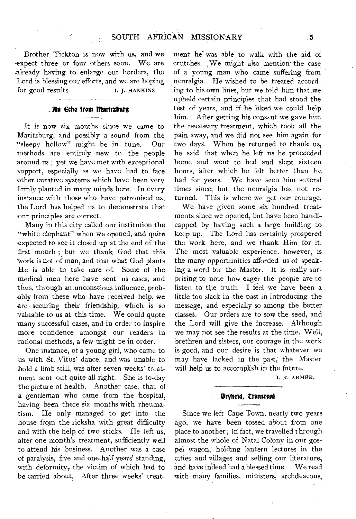Brother Tickton is now with us, and we expect three or four others soon. We are already having to enlarge our borders, the Lord is blessing our efforts, and we are hoping<br>for good results. <br>I. I. HANKINS. for good results.

#### **. An Echo from Maritzburg**

It is now six months since we came to Maritzburg, and possibly a sound from the '"sleepy hollow" might be in tune. Our methods are entirely new to the people around us ; yet we have met with exceptional support, especially as we have had to face other curative systems which have been very firmly planted in many minds here. In every instance with those who have patronised us, the Lord has helped us to demonstrate that our principles are correct.

Many in this city called our institution the "white elephant" when we opened, and quite expected to see it closed up at the end of the first month ; but we thank God that this work is not of man, and that what God plants He is able to take care of. Some of the medical men here have sent us cases, and thus, through an, unconscious influence, probably from these who have received help, we are securing their friendship, which is so valuable to us at this time. We could quote many successful cases, and in order to inspire more confidence amongst our readers in rational methods, a few might be in order.

One instance, of a young girl, who came to us with St. Vitus' dance, and was unable to hold a limb still, was after seven weeks' treatment sent out quite all right. She is to-day the picture of health. Another case, that of a gentleman who came from the hospital, having been there six months with rheumatism. He only managed to get into the house from the ricksha with great difficulty and with the help of two sticks. He left us, after one month's treatment, sufficiently well to attend his business. Another was a case of paralysis, five and one-half years' standing, with deformity, the victim of which had to be carried about. After three weeks' treatment he was able to walk with the aid of crutches. We might also mention' the case of a young man who came suffering from neuralgia. He wished to be treated according to his own lines, but we told him that we upheld certain principles that had stood the test of years, and if he liked we could help him. After getting his consent we gave him the necessary treatment, which took all the pain away, and we did not see him again for two days. When he returned to thank us, he said that when he left us he proceeded home and went to bed and slept sixteen hours, after which he felt better than he had for years. We have seen him several times since, but the neuralgia has not returned. This is where we get our courage.

We have given some six hundred treatments since we opened, but have been handicapped by having such a large building to keep up. The Lord has certainly prospered the work here, and we thank Him for it. The most valuable experience, however, is the many opportunities afforded us of speaking a word for the Master. It is really surprising to note how eager the people are to listen to the truth. I feel we have been a little too slack in the past in introducing the message, and especially so among the better classes. Our orders are to sow the seed, and the ,Lord will give the increase. Although we may not see the results at the time. Well, brethren and sisters, our courage in the work is good, and our desire is that whatever we may have lacked in the past; the Master will help us to accomplish in the future.

I. R. ARMER.

#### **Urybeld, transonal**

Since we left Cape Town, nearly two years ago, we have been tossed about from one place to another; in fact, we travelled through almost the whole of Natal Colony in our gospel wagon,' holding lantern lectures in the cities and villages and selling our literature, and have indeed had a blessed time. We read with many families, ministers, archdeacons,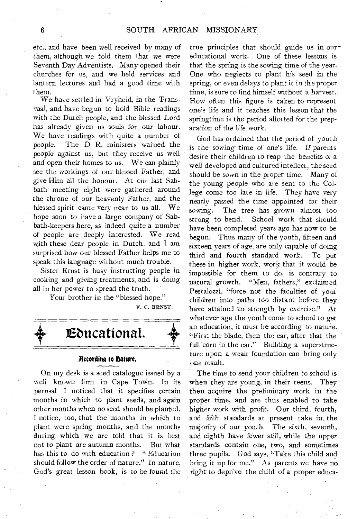etc., and have been well received by many of them, although we told them that we were Seventh Day Adventists. Many opened their churches for us, and we held services and lantern lectures and had a good time with them.

We have settled in Vryheid, in the Transvaal, and have begun to hold Bible readings with the Dutch people, and the blessed Lord has already given us souls for our labour. We have readings with quite a number of people. The D R. ministers warned the people against us, but they receive us well and open their homes to us. We can plainly see the workings of our blessed Father, and give Him all the honour. At our last Sabbath meeting eight were gathered around the throne of our heavenly Father, and the blessed spirit came very near to us all. We hope soon to have a large company of Sabbath-keepers here, as indeed quite a number of people are deeply interested. We read with these dear people in Dutch, and I am surprised how our blessed Father helps me to speak this language without much trouble.

Sister Ernst is busy instructing people in cooking and giving treatments, and is doing all in her power to spread the truth.

Your brother in the "blessed hope,"

F. C. ERNST.



#### **According to Mature.**

On my desk is a seed catalogue issued by a well known firm in Cape Town. In its perusal I noticed that it specifies certain months in which to plant seeds, and again other months when no seed should be planted. I notice, too, that the months in which to plant were spring months, and the months during which we are told that it is best not to plant are autumn months. But what has this to do with education ? " Education should follow the order of nature." In nature, God's great lesson book, is to be found the

true principles that should guide us in oureducational work. One of these lessons is that the spring is the sowing time of the year. One who neglects to plant his seed in the spring, or even delays to plant it in the proper time, is sure to find himself without a harvest. How often this figure is taken to represent one's life and it teaches this lesson that the springtime is the period allotted for the preparation of the life work.

God has ordained that the period of youth is the sowing time of one's life. If parents desire their children to reap the benefits of a well developed and cultured intellect, the seed should be sown in the proper time. Many of the young people who are sent to the College come too late in life. They have very nearly passed the time appointed for their sowing. The tree has grown almost too<br>strong to bend. School work that should School work that should have been completed years ago has now to be begun. Thus many of the youth, fifteen and sixteen years of age, are only capable of doing third and fourth standard work. To put these in higher work, work that it would be impossible for them to do, is contrary to natural growth. "Men, fathers," exclaimed Pestalozzi, "force not the faculties of your children into paths too distant before they have attained to strength by exercise." At whatever age the youth come to school to get an education, it must be according to nature. "First the blade, then the ear, after that the full corn in the ear." Building a superstructure upon a weak foundation can bring only one result.

The time to send your children to school is when they are young, in their teens. They then acquire the preliminary work in the proper time, and are thus enabled to take higher work with profit. Our third, fourth, and fifth standards at present take in\_ the majority of our youth. The sixth, seventh, and eighth have fewer still, while the upper standards contain one, two, and sometimes three pupils. God says, "Take this child and bring it up for me." As parents we have no right to deprive the child of a proper educa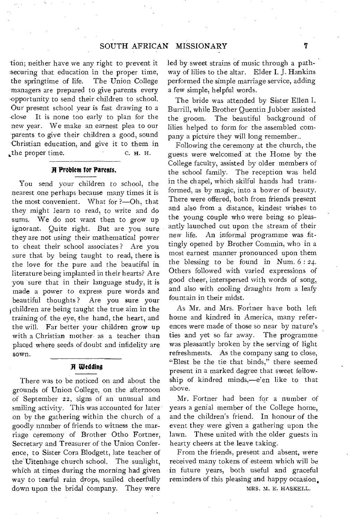tion; neither have we any right to prevent it securing that education in the proper time, the springtime of life. The Union College managers are prepared to give parents every opportunity to send their children to school. Our present school year is fast drawing to a -close It is none too early to plan for the new year. We make an earnest plea to our parents to give their children a good, sound Christian education, and give it to them in  $\mu$  the proper time. C. H. H.

#### **A Problem for Parents.**

You send your children to school, the nearest one perhaps because many times it is the most convenient. What for ?—Oh, that they might learn to read, to write and do sums. We do not want then to grow up ignorant. Quite right. But are you sure they are not using their mathematical power to cheat their school associates ? Are you sure that by being taught to read, there is the love for the pure and the beautiful in literature being implanted in their hearts? Are you sure that in their language study, it is made a power to express pure words and beautiful thoughts ? Are you sure your children are being taught the true aim in the training of the eye, the hand, the heart, and the will. Far better your children grow up with a Christian mother as a teacher than placed where seeds of doubt and infidelity are sown.

### **A Wedding**

There was to be noticed on and about the grounds of Union College, on the afternoon of September 22, signs of an unusual and smiling activity. This was accounted for later on by the gathering within the church of a goodly nnmber of friends to witness the marriage ceremony of Brother Otho Fortner, Secretary and Treasurer of the Union Conference, to Sister Cora Blodgett, late teacher of the Uitenhage church school. The sunlight, which at times during the morning had given way to tearful rain drops, smiled cheerfully down upon the bridal company. They were

led by sweet strains of music through a pathway of lilies to the altar. Elder I. J. Hankins performed the simple marriage service, adding a few simple, helpful words.

The bride was attended by Sister Ellen I, Burrill, while Brother Quentin Jubber assisted the groom. The beautiful background of lilies helped to form for the assembled company a picture they will long remember..

Following the ceremony at the church, the guests were welcomed at the Home by the College faculty, assisted by older members of the school family. The reception was held in the chapel, which skilful hands had transformed, as by magic, into a bower of beauty. There were offered, both from friends present and also from a distance, kindest wishes to the young couple who were being so pleasantly launched out upon the stream of their new life. An informal programme was fittingly opened by Brother Commin, who in a most earnest manner pronounced- upon them the blessing to be found in Num.  $6:24$ . Others followed with varied expressions of good cheer, interspersed with words of song, and also with cooling draughts from a leafy fountain in their midst.

As Mr. and Mrs. Fortner have both left home and kindred in America, many references were made of those so near by nature's ties and yet so far away. The programme was pleasantly broken by the serving of light refreshments. As the company sang to close, "Blest be the tie that binds," there seemed present in a marked degree that sweet fellowship of kindred minds,—e'en like to that above.

Mr. Fortner had been for a number of years a genial member of the College home, and the children's friend. In honour of the event they were given a gathering upon the lawn. These united with the older guests in hearty cheers at the leave taking.

From the friends, present and absent, were received many tokens of esteem which will be in future years, both useful and graceful reminders of this pleasing and happy occasion. MRS. M. E. HASKELL.